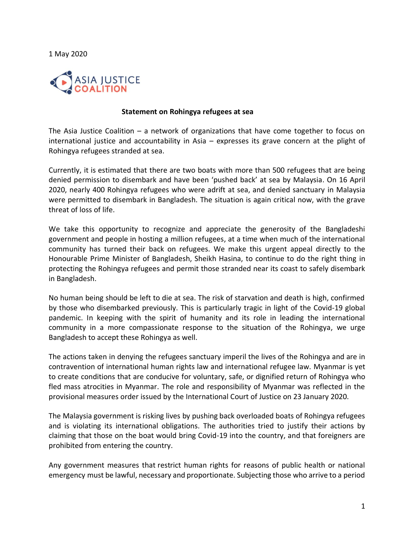1 May 2020



## **Statement on Rohingya refugees at sea**

The Asia Justice Coalition – a network of organizations that have come together to focus on international justice and accountability in Asia – expresses its grave concern at the plight of Rohingya refugees stranded at sea.

Currently, it is estimated that there are two boats with more than 500 refugees that are being denied permission to disembark and have been 'pushed back' at sea by Malaysia. On 16 April 2020, nearly 400 Rohingya refugees who were adrift at sea, and denied sanctuary in Malaysia were permitted to disembark in Bangladesh. The situation is again critical now, with the grave threat of loss of life.

We take this opportunity to recognize and appreciate the generosity of the Bangladeshi government and people in hosting a million refugees, at a time when much of the international community has turned their back on refugees. We make this urgent appeal directly to the Honourable Prime Minister of Bangladesh, Sheikh Hasina, to continue to do the right thing in protecting the Rohingya refugees and permit those stranded near its coast to safely disembark in Bangladesh.

No human being should be left to die at sea. The risk of starvation and death is high, confirmed by those who disembarked previously. This is particularly tragic in light of the Covid-19 global pandemic. In keeping with the spirit of humanity and its role in leading the international community in a more compassionate response to the situation of the Rohingya, we urge Bangladesh to accept these Rohingya as well.

The actions taken in denying the refugees sanctuary imperil the lives of the Rohingya and are in contravention of international human rights law and international refugee law. Myanmar is yet to create conditions that are conducive for voluntary, safe, or dignified return of Rohingya who fled mass atrocities in Myanmar. The role and responsibility of Myanmar was reflected in the provisional measures order issued by the International Court of Justice on 23 January 2020.

The Malaysia government is risking lives by pushing back overloaded boats of Rohingya refugees and is violating its international obligations. The authorities tried to justify their actions by claiming that those on the boat would bring Covid-19 into the country, and that foreigners are prohibited from entering the country.

Any government measures that restrict human rights for reasons of public health or national emergency must be lawful, necessary and proportionate. Subjecting those who arrive to a period